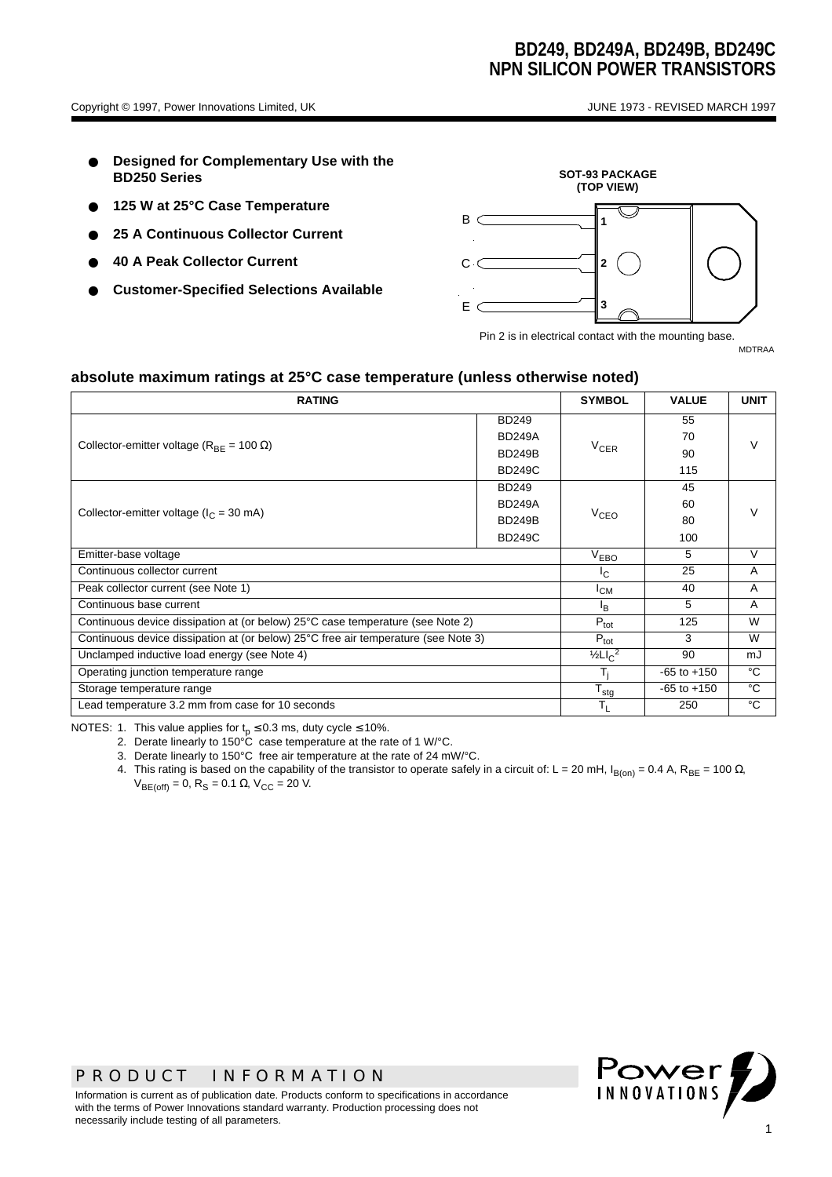- **Designed for Complementary Use with the BD250 Series**
- 125 W at 25°C Case Temperature
- **25 A Continuous Collector Current**
- **40 A Peak Collector Current**
- **Customer-Specified Selections Available**



Pin 2 is in electrical contact with the mounting base.

MDTRAA

#### **absolute maximum ratings at 25°C case temperature (unless otherwise noted)**

| <b>RATING</b>                                                                      | <b>SYMBOL</b>                              | <b>VALUE</b>    | <b>UNIT</b>    |        |  |
|------------------------------------------------------------------------------------|--------------------------------------------|-----------------|----------------|--------|--|
|                                                                                    | <b>BD249</b>                               |                 | 55             |        |  |
| Collector-emitter voltage ( $R_{BF}$ = 100 $\Omega$ )                              | <b>BD249A</b>                              |                 | 70             | $\vee$ |  |
|                                                                                    | <b>BD249B</b>                              | $V_{CER}$       | 90             |        |  |
|                                                                                    | <b>BD249C</b>                              |                 | 115            |        |  |
|                                                                                    | <b>BD249</b>                               |                 | 45             |        |  |
| Collector-emitter voltage ( $I_C$ = 30 mA)                                         | <b>BD249A</b>                              |                 | 60             |        |  |
|                                                                                    | <b>BD249B</b>                              | $V_{CEO}$       | 80             |        |  |
|                                                                                    | <b>BD249C</b>                              |                 | 100            |        |  |
| Emitter-base voltage                                                               | V <sub>EBO</sub>                           | 5               | $\vee$         |        |  |
| Continuous collector current                                                       | I <sub>C</sub>                             | 25              | A              |        |  |
| Peak collector current (see Note 1)                                                | $I_{CM}$                                   | 40              | $\overline{A}$ |        |  |
| Continuous base current                                                            | l <sub>R</sub>                             | 5               | $\overline{A}$ |        |  |
| Continuous device dissipation at (or below) 25°C case temperature (see Note 2)     | $P_{\text{tot}}$                           | 125             | W              |        |  |
| Continuous device dissipation at (or below) 25°C free air temperature (see Note 3) | $P_{\text{tot}}$                           | 3               | W              |        |  |
| Unclamped inductive load energy (see Note 4)                                       | $\frac{1}{2}$ LI <sub>C</sub> <sup>2</sup> | 90              | mJ             |        |  |
| Operating junction temperature range                                               | T,                                         | $-65$ to $+150$ | $^{\circ}$ C   |        |  |
| Storage temperature range                                                          | $T_{\text{stg}}$                           | $-65$ to $+150$ | °C             |        |  |
| Lead temperature 3.2 mm from case for 10 seconds                                   | $T_{\rm L}$                                | 250             | °C             |        |  |

NOTES: 1. This value applies for  $t_p \le 0.3$  ms, duty cycle  $\le 10\%$ .

2. Derate linearly to 150°C case temperature at the rate of 1 W/°C.

3. Derate linearly to 150°C free air temperature at the rate of 24 mW/°C.

4. This rating is based on the capability of the transistor to operate safely in a circuit of: L = 20 mH, I<sub>B(on)</sub> = 0.4 A, R<sub>BE</sub> = 100 Ω,  $V_{BE(off)} = 0$ , R<sub>S</sub> = 0.1 Ω, V<sub>CC</sub> = 20 V.



Information is current as of publication date. Products conform to specifications in accordance with the terms of Power Innovations standard warranty. Production processing does not necessarily include testing of all parameters.

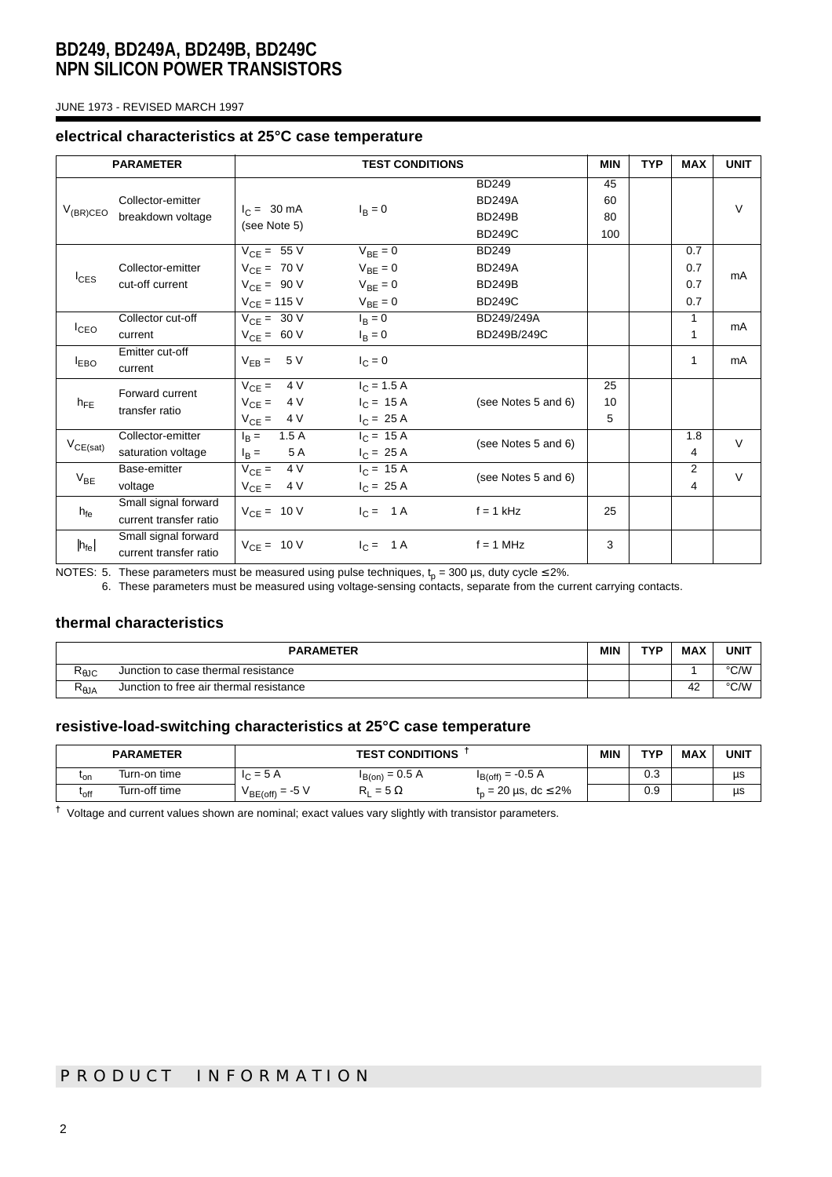JUNE 1973 - REVISED MARCH 1997

#### **electrical characteristics at 25°C case temperature**

|                   | <b>PARAMETER</b>                               |                                                                           | <b>TEST CONDITIONS</b>                                       |                                                                 | <b>MIN</b>            | <b>TYP</b> | <b>MAX</b>               | <b>UNIT</b> |
|-------------------|------------------------------------------------|---------------------------------------------------------------------------|--------------------------------------------------------------|-----------------------------------------------------------------|-----------------------|------------|--------------------------|-------------|
| $V_{(BR)CEO}$     | Collector-emitter<br>breakdown voltage         | $I_C = 30 \text{ mA}$<br>(see Note 5)                                     | $I_B = 0$                                                    | <b>BD249</b><br><b>BD249A</b><br><b>BD249B</b><br><b>BD249C</b> | 45<br>60<br>80<br>100 |            |                          | $\vee$      |
| $I_{CES}$         | Collector-emitter<br>cut-off current           | $V_{CE} = 55 V$<br>$V_{CE}$ = 70 V<br>$V_{CE}$ = 90 V<br>$V_{CE} = 115 V$ | $V_{BE} = 0$<br>$V_{BE} = 0$<br>$V_{BE} = 0$<br>$V_{BE} = 0$ | <b>BD249</b><br><b>BD249A</b><br><b>BD249B</b><br><b>BD249C</b> |                       |            | 0.7<br>0.7<br>0.7<br>0.7 | mA          |
| I <sub>CEO</sub>  | Collector cut-off<br>current                   | $V_{CE} = 30 V$<br>$V_{CE} = 60 V$                                        | $I_R = 0$<br>$I_B = 0$                                       | BD249/249A<br>BD249B/249C                                       |                       |            | 1<br>1                   | mA          |
| $I_{EBO}$         | Emitter cut-off<br>current                     | $V_{EB} = 5 V$                                                            | $I_C = 0$                                                    |                                                                 |                       |            | 1                        | mA          |
| $h_{FE}$          | Forward current<br>transfer ratio              | 4 V<br>$V_{CE} =$<br>$V_{CE} =$<br>4 V<br>$V_{CE} =$<br>4 V               | $I_C = 1.5 A$<br>$I_C = 15 A$<br>$I_C = 25 A$                | (see Notes 5 and 6)                                             | 25<br>10<br>5         |            |                          |             |
| $V_{CE(sat)}$     | Collector-emitter<br>saturation voltage        | 1.5A<br>$I_{\rm B} =$<br>5 A<br>$I_{\rm B} =$                             | $I_C = 15 A$<br>$I_C = 25 A$                                 | (see Notes 5 and 6)                                             |                       |            | 1.8<br>4                 | $\vee$      |
| $V_{BE}$          | Base-emitter<br>voltage                        | 4 V<br>$V_{CE} =$<br>4 V<br>$V_{CE} =$                                    | $I_C = 15 A$<br>$I_C = 25 A$                                 | (see Notes 5 and 6)                                             |                       |            | $\overline{2}$<br>4      | $\vee$      |
| $h_{fe}$          | Small signal forward<br>current transfer ratio | $V_{CE} = 10 V$                                                           | $I_C = 1A$                                                   | $f = 1$ kHz                                                     | 25                    |            |                          |             |
| $ h_{\text{fe}} $ | Small signal forward<br>current transfer ratio | $V_{CF} = 10 V$                                                           | $I_C = 1A$                                                   | $f = 1$ MHz                                                     | 3                     |            |                          |             |

NOTES: 5. These parameters must be measured using pulse techniques,  ${\rm t_p}$  = 300 µs, duty cycle ≤ 2%.

6. These parameters must be measured using voltage-sensing contacts, separate from the current carrying contacts.

### **thermal characteristics**

| <b>PARAMETER</b>       |                                         |  | TVO | <b>MAX</b> | <b>UNIT</b> |
|------------------------|-----------------------------------------|--|-----|------------|-------------|
| $R_{\theta \text{JC}}$ | Junction to case thermal resistance     |  |     |            | °C/W        |
| $R_{\theta$ JA         | Junction to free air thermal resistance |  |     | 42         | °C/W        |

### **resistive-load-switching characteristics at 25°C case temperature**

|                        | <b>PARAMETER</b> | <b>TEST CONDITIONS</b> |                    |                                      | MIN | TYP      | <b>MAX</b> | <b>UNIT</b> |
|------------------------|------------------|------------------------|--------------------|--------------------------------------|-----|----------|------------|-------------|
| 'on                    | Turn-on time     | $= 5A$<br>$\sqrt{ }$   | . = 0.5 A<br>B(on) | $I_{B(off)} = -0.5 A$                |     | ົ<br>∪.∪ |            | us          |
| $\iota_{\mathsf{off}}$ | Turn-off time    | $V_{BE(off)} = -5 V$   | $= 5 \Omega$       | $t_{p} = 20 \,\mu s, \, dc \leq 2\%$ |     | 0.9      |            | us          |

**†** Voltage and current values shown are nominal; exact values vary slightly with transistor parameters.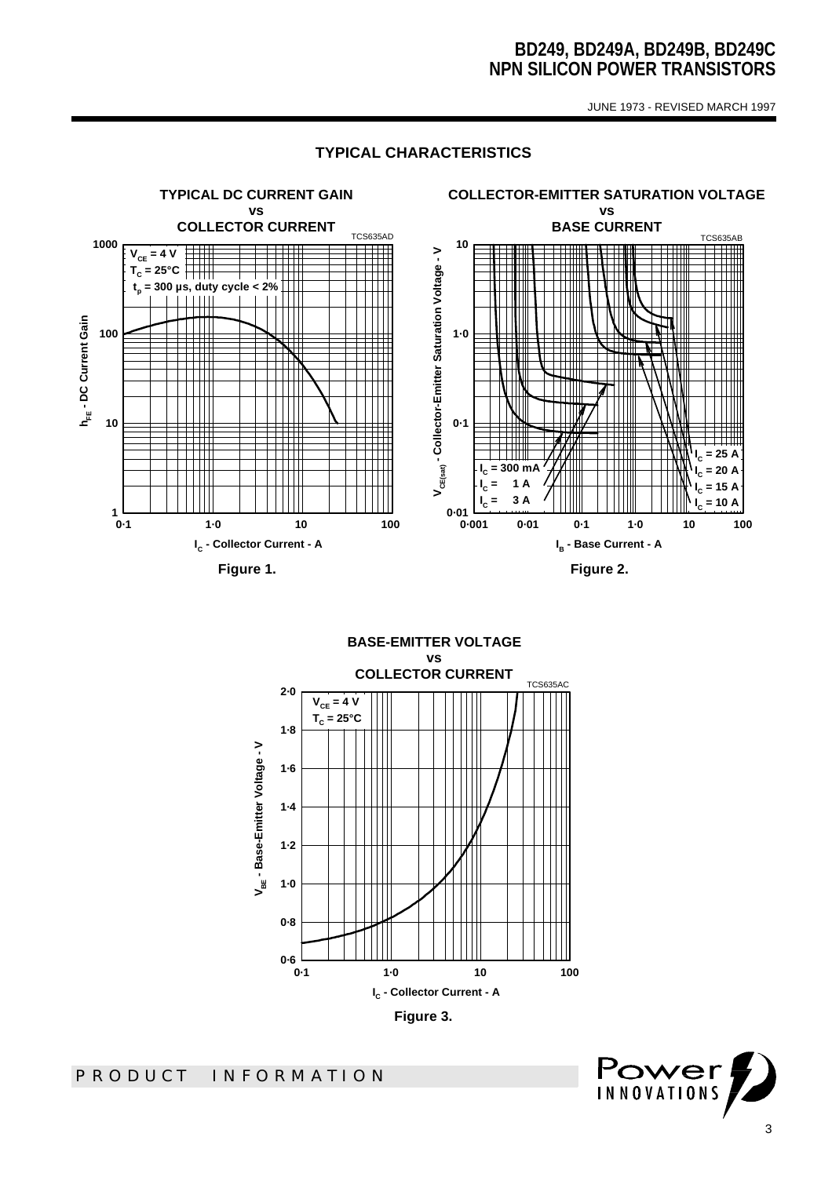JUNE 1973 - REVISED MARCH 1997

### **TYPICAL CHARACTERISTICS**



**BASE-EMITTER VOLTAGE vs COLLECTOR CURRENT** TCS635AC **2·0**  $V_{CE} = 4 V$ **TC = 25°C1·8** V<sub>BE</sub> - Base-Emitter Voltage - V **VBE - Base-Emitter Voltage - V 1·6 1·4 1·2 1·0 0·8 0·6 0·1 1·0 10 100 IC - Collector Current - A Figure 3.** 

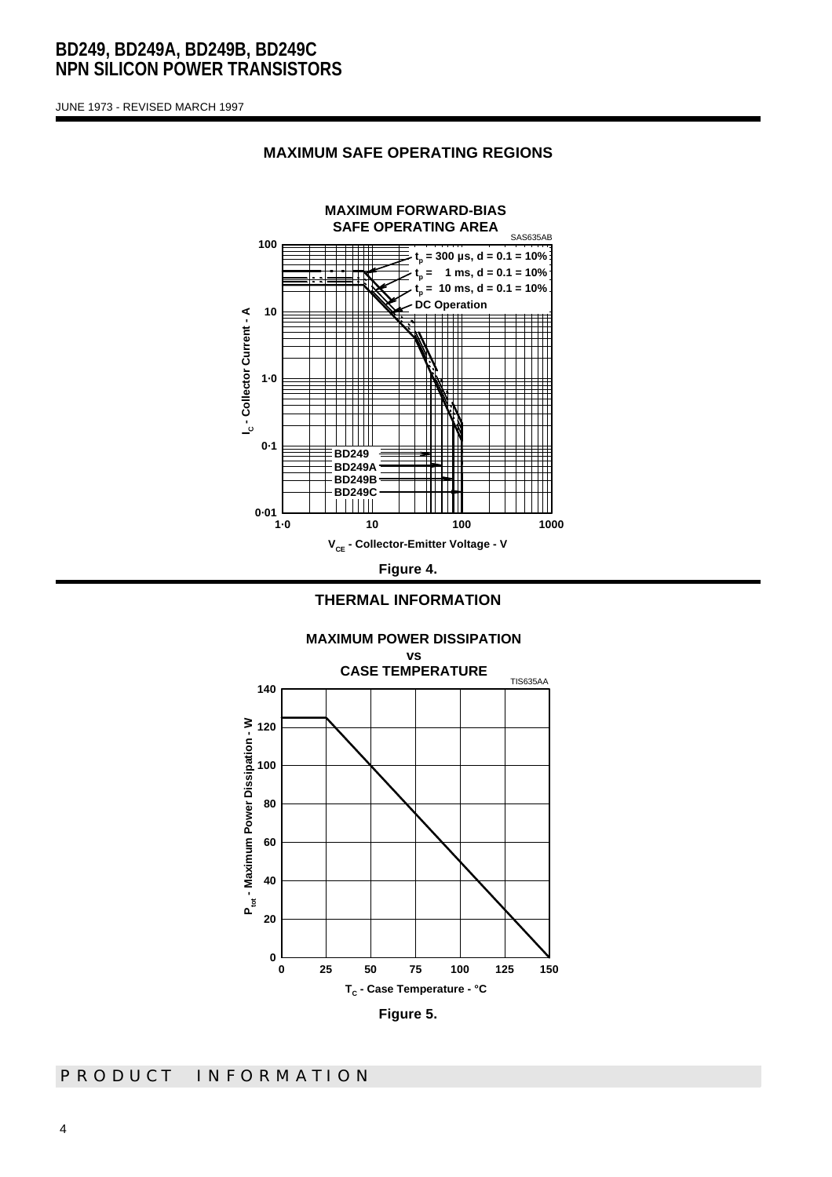JUNE 1973 - REVISED MARCH 1997



#### **MAXIMUM SAFE OPERATING REGIONS**



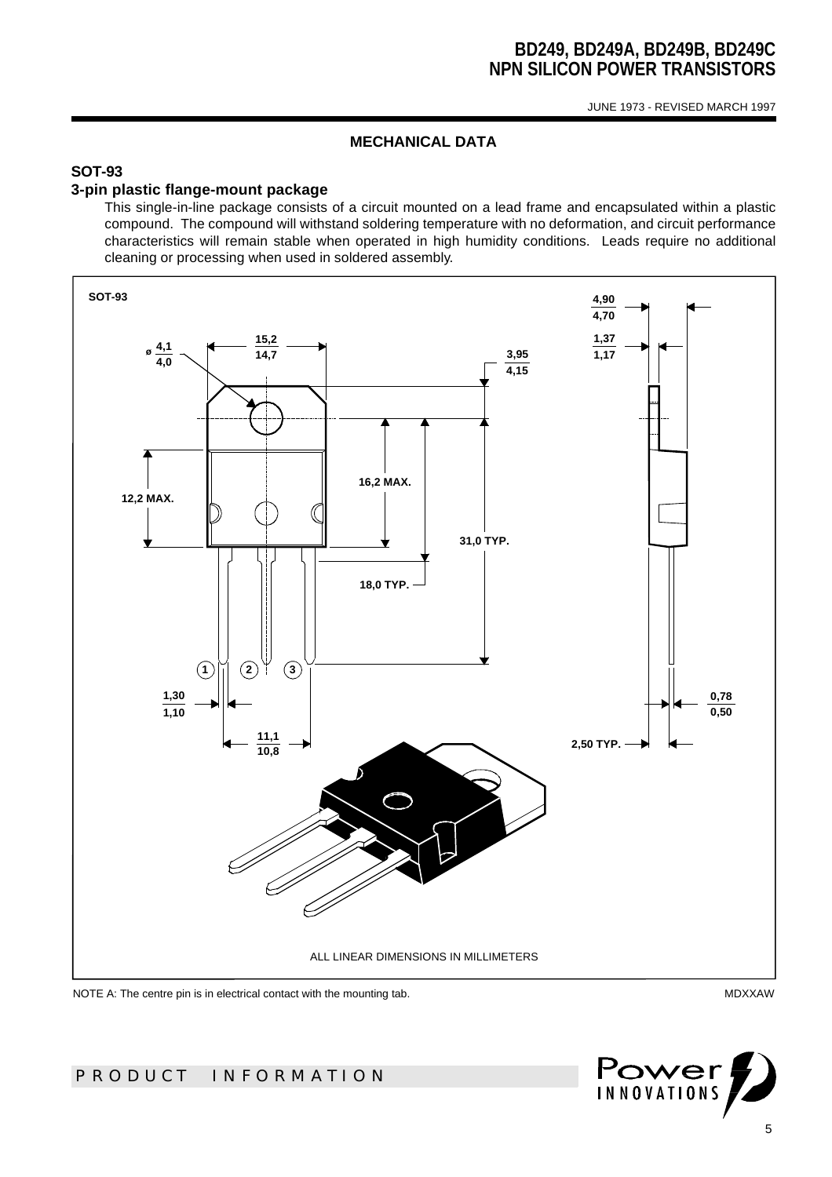JUNE 1973 - REVISED MARCH 1997

### **MECHANICAL DATA**

# **SOT-93**

#### **3-pin plastic flange-mount package**

This single-in-line package consists of a circuit mounted on a lead frame and encapsulated within a plastic compound. The compound will withstand soldering temperature with no deformation, and circuit performance characteristics will remain stable when operated in high humidity conditions. Leads require no additional cleaning or processing when used in soldered assembly.